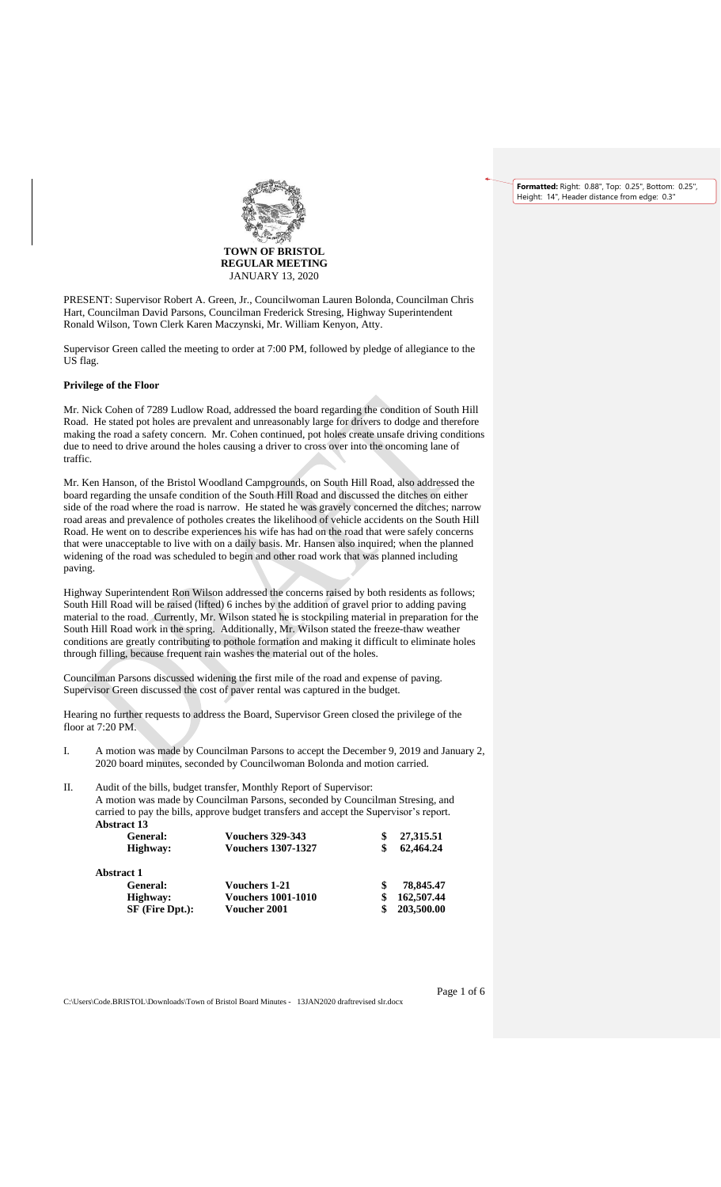**Formatted:** Right: 0.88", Top: 0.25", Bottom: 0.25", Height: 14", Header distance from edge: 0.3



PRESENT: Supervisor Robert A. Green, Jr., Councilwoman Lauren Bolonda, Councilman Chris Hart, Councilman David Parsons, Councilman Frederick Stresing, Highway Superintendent Ronald Wilson, Town Clerk Karen Maczynski, Mr. William Kenyon, Atty.

Supervisor Green called the meeting to order at 7:00 PM, followed by pledge of allegiance to the US flag.

### **Privilege of the Floor**

Mr. Nick Cohen of 7289 Ludlow Road, addressed the board regarding the condition of South Hill Road. He stated pot holes are prevalent and unreasonably large for drivers to dodge and therefore making the road a safety concern. Mr. Cohen continued, pot holes create unsafe driving conditions due to need to drive around the holes causing a driver to cross over into the oncoming lane of traffic.

Mr. Ken Hanson, of the Bristol Woodland Campgrounds, on South Hill Road, also addressed the board regarding the unsafe condition of the South Hill Road and discussed the ditches on either side of the road where the road is narrow. He stated he was gravely concerned the ditches; narrow road areas and prevalence of potholes creates the likelihood of vehicle accidents on the South Hill Road. He went on to describe experiences his wife has had on the road that were safely concerns that were unacceptable to live with on a daily basis. Mr. Hansen also inquired; when the planned widening of the road was scheduled to begin and other road work that was planned including paving.

Highway Superintendent Ron Wilson addressed the concerns raised by both residents as follows; South Hill Road will be raised (lifted) 6 inches by the addition of gravel prior to adding paving material to the road. Currently, Mr. Wilson stated he is stockpiling material in preparation for the South Hill Road work in the spring. Additionally, Mr. Wilson stated the freeze-thaw weather conditions are greatly contributing to pothole formation and making it difficult to eliminate holes through filling, because frequent rain washes the material out of the holes.

Councilman Parsons discussed widening the first mile of the road and expense of paving. Supervisor Green discussed the cost of paver rental was captured in the budget.

Hearing no further requests to address the Board, Supervisor Green closed the privilege of the floor at 7:20 PM.

I. A motion was made by Councilman Parsons to accept the December 9, 2019 and January 2, 2020 board minutes, seconded by Councilwoman Bolonda and motion carried.

II. Audit of the bills, budget transfer, Monthly Report of Supervisor:

A motion was made by Councilman Parsons, seconded by Councilman Stresing, and carried to pay the bills, approve budget transfers and accept the Supervisor's report. **Abstract 13**

| <b>Vouchers 329-343</b>   | 27,315.51  |
|---------------------------|------------|
| <b>Vouchers 1307-1327</b> | 62,464.24  |
|                           |            |
| <b>Vouchers 1-21</b>      | 78,845.47  |
| <b>Vouchers 1001-1010</b> | 162,507.44 |
| <b>Voucher 2001</b>       | 203,500.00 |
|                           |            |

C:\Users\Code.BRISTOL\Downloads\Town of Bristol Board Minutes - 13JAN2020 draftrevised slr.docx

Page 1 of 6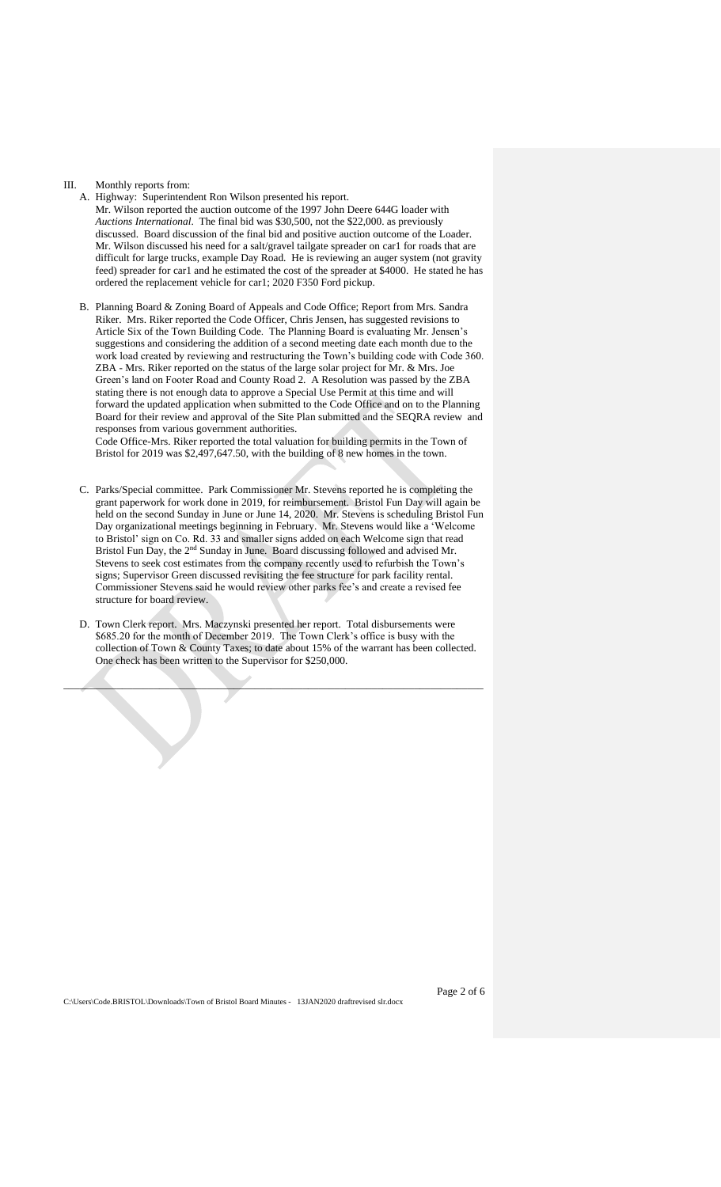#### III. Monthly reports from:

- A. Highway: Superintendent Ron Wilson presented his report. Mr. Wilson reported the auction outcome of the 1997 John Deere 644G loader with *Auctions International*. The final bid was \$30,500, not the \$22,000. as previously discussed. Board discussion of the final bid and positive auction outcome of the Loader. Mr. Wilson discussed his need for a salt/gravel tailgate spreader on car1 for roads that are difficult for large trucks, example Day Road. He is reviewing an auger system (not gravity feed) spreader for car1 and he estimated the cost of the spreader at \$4000. He stated he has ordered the replacement vehicle for car1; 2020 F350 Ford pickup.
- B. Planning Board & Zoning Board of Appeals and Code Office; Report from Mrs. Sandra Riker. Mrs. Riker reported the Code Officer, Chris Jensen, has suggested revisions to Article Six of the Town Building Code. The Planning Board is evaluating Mr. Jensen's suggestions and considering the addition of a second meeting date each month due to the work load created by reviewing and restructuring the Town's building code with Code 360. ZBA - Mrs. Riker reported on the status of the large solar project for Mr. & Mrs. Joe Green's land on Footer Road and County Road 2. A Resolution was passed by the ZBA stating there is not enough data to approve a Special Use Permit at this time and will forward the updated application when submitted to the Code Office and on to the Planning Board for their review and approval of the Site Plan submitted and the SEQRA review and responses from various government authorities.

Code Office-Mrs. Riker reported the total valuation for building permits in the Town of Bristol for 2019 was \$2,497,647.50, with the building of 8 new homes in the town.

- C. Parks/Special committee. Park Commissioner Mr. Stevens reported he is completing the grant paperwork for work done in 2019, for reimbursement. Bristol Fun Day will again be held on the second Sunday in June or June 14, 2020. Mr. Stevens is scheduling Bristol Fun Day organizational meetings beginning in February. Mr. Stevens would like a 'Welcome to Bristol' sign on Co. Rd. 33 and smaller signs added on each Welcome sign that read Bristol Fun Day, the 2<sup>nd</sup> Sunday in June. Board discussing followed and advised Mr. Stevens to seek cost estimates from the company recently used to refurbish the Town's signs; Supervisor Green discussed revisiting the fee structure for park facility rental. Commissioner Stevens said he would review other parks fee's and create a revised fee structure for board review.
- D. Town Clerk report. Mrs. Maczynski presented her report. Total disbursements were \$685.20 for the month of December 2019. The Town Clerk's office is busy with the collection of Town & County Taxes; to date about 15% of the warrant has been collected. One check has been written to the Supervisor for \$250,000.

\_\_\_\_\_\_\_\_\_\_\_\_\_\_\_\_\_\_\_\_\_\_\_\_\_\_\_\_\_\_\_\_\_\_\_\_\_\_\_\_\_\_\_\_\_\_\_\_\_\_\_\_\_\_\_\_\_\_\_\_\_\_\_\_\_\_\_\_\_\_\_\_\_\_\_\_\_\_\_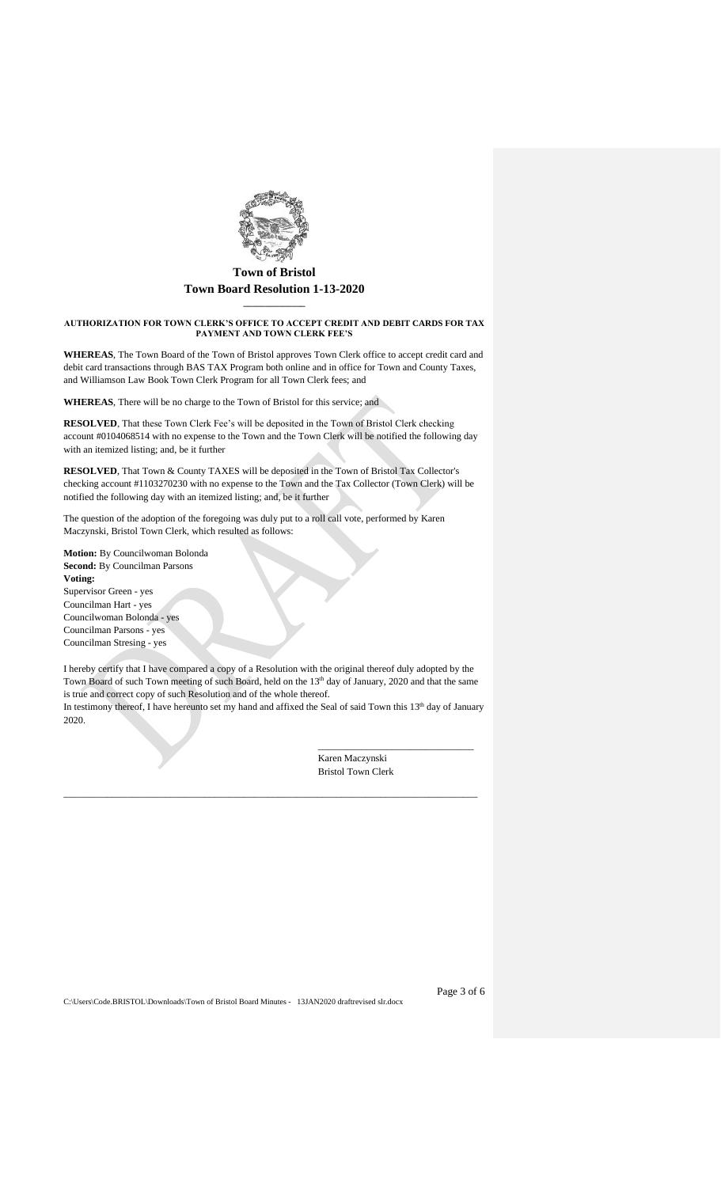

## **\_\_\_\_\_\_\_\_\_\_\_\_\_\_ AUTHORIZATION FOR TOWN CLERK'S OFFICE TO ACCEPT CREDIT AND DEBIT CARDS FOR TAX PAYMENT AND TOWN CLERK FEE'S**

**WHEREAS**, The Town Board of the Town of Bristol approves Town Clerk office to accept credit card and debit card transactions through BAS TAX Program both online and in office for Town and County Taxes, and Williamson Law Book Town Clerk Program for all Town Clerk fees; and

**WHEREAS**, There will be no charge to the Town of Bristol for this service; and

**RESOLVED**, That these Town Clerk Fee's will be deposited in the Town of Bristol Clerk checking account #0104068514 with no expense to the Town and the Town Clerk will be notified the following day with an itemized listing; and, be it further

**RESOLVED**, That Town & County TAXES will be deposited in the Town of Bristol Tax Collector's checking account #1103270230 with no expense to the Town and the Tax Collector (Town Clerk) will be notified the following day with an itemized listing; and, be it further

The question of the adoption of the foregoing was duly put to a roll call vote, performed by Karen Maczynski, Bristol Town Clerk, which resulted as follows:

**Motion:** By Councilwoman Bolonda **Second:** By Councilman Parsons **Voting:** Supervisor Green - yes Councilman Hart - yes Councilwoman Bolonda - yes Councilman Parsons - yes Councilman Stresing - yes

I hereby certify that I have compared a copy of a Resolution with the original thereof duly adopted by the Town Board of such Town meeting of such Board, held on the 13<sup>th</sup> day of January, 2020 and that the same is true and correct copy of such Resolution and of the whole thereof. In testimony thereof, I have hereunto set my hand and affixed the Seal of said Town this 13<sup>th</sup> day of January 2020.

\_\_\_\_\_\_\_\_\_\_\_\_\_\_\_\_\_\_\_\_\_\_\_\_\_\_\_\_\_\_\_\_\_\_\_\_\_\_\_\_\_\_\_\_\_\_\_\_\_\_\_\_\_\_\_\_\_\_\_\_\_\_\_\_\_\_\_\_\_\_\_\_\_\_\_\_\_\_\_\_\_\_\_\_\_

Karen Maczynski Bristol Town Clerk

\_\_\_\_\_\_\_\_\_\_\_\_\_\_\_\_\_\_\_\_\_\_\_\_\_\_\_\_\_\_\_\_

C:\Users\Code.BRISTOL\Downloads\Town of Bristol Board Minutes - 13JAN2020 draftrevised slr.docx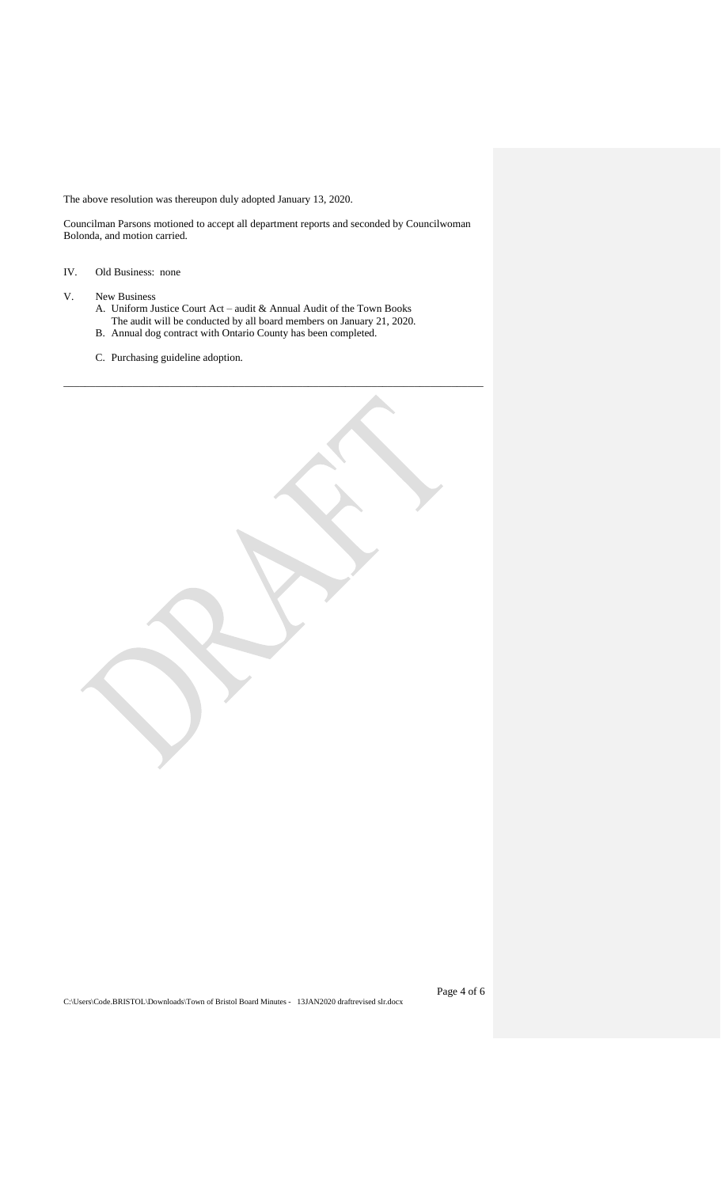The above resolution was thereupon duly adopted January 13, 2020.

Councilman Parsons motioned to accept all department reports and seconded by Councilwoman Bolonda, and motion carried.

- IV. Old Business: none
- V. New Business
	- A. Uniform Justice Court Act audit & Annual Audit of the Town Books The audit will be conducted by all board members on January 21, 2020.

\_\_\_\_\_\_\_\_\_\_\_\_\_\_\_\_\_\_\_\_\_\_\_\_\_\_\_\_\_\_\_\_\_\_\_\_\_\_\_\_\_\_\_\_\_\_\_\_\_\_\_\_\_\_\_\_\_\_\_\_\_\_\_\_\_\_\_\_\_\_\_\_\_\_\_\_\_\_\_

- B. Annual dog contract with Ontario County has been completed.
- C. Purchasing guideline adoption.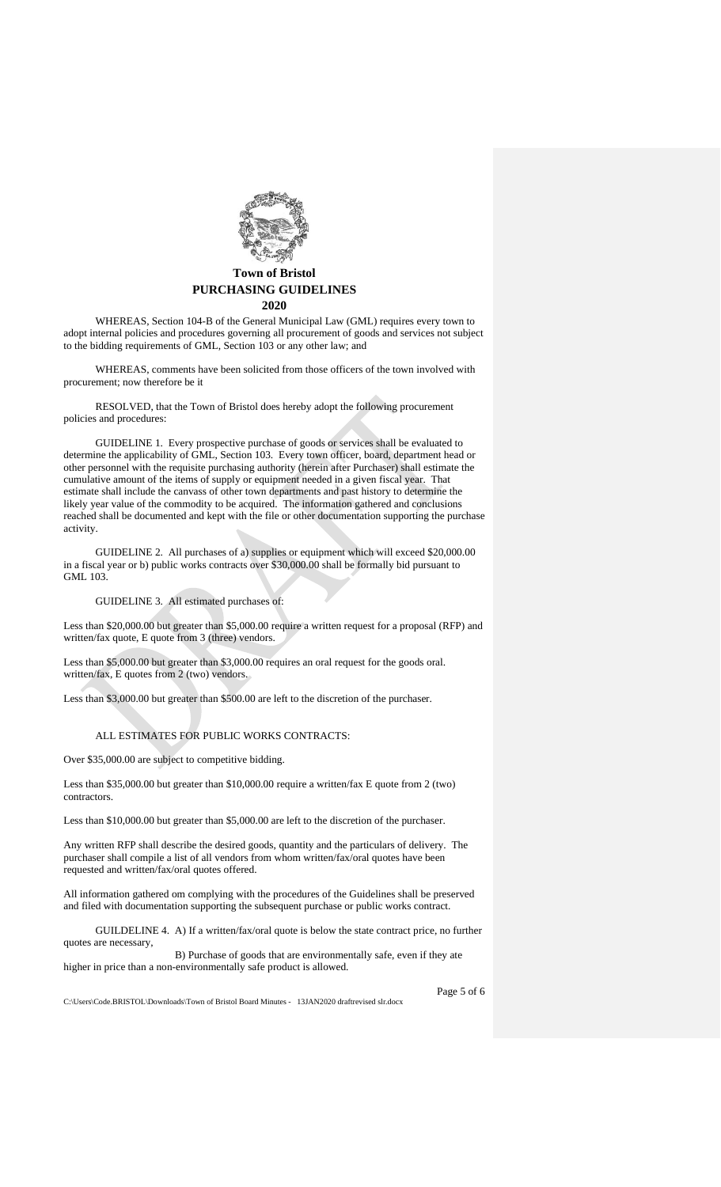

#### **2020**

WHEREAS, Section 104-B of the General Municipal Law (GML) requires every town to adopt internal policies and procedures governing all procurement of goods and services not subject to the bidding requirements of GML, Section 103 or any other law; and

WHEREAS, comments have been solicited from those officers of the town involved with procurement; now therefore be it

RESOLVED, that the Town of Bristol does hereby adopt the following procurement policies and procedures:

GUIDELINE 1. Every prospective purchase of goods or services shall be evaluated to determine the applicability of GML, Section 103. Every town officer, board, department head or other personnel with the requisite purchasing authority (herein after Purchaser) shall estimate the cumulative amount of the items of supply or equipment needed in a given fiscal year. That estimate shall include the canvass of other town departments and past history to determine the likely year value of the commodity to be acquired. The information gathered and conclusions reached shall be documented and kept with the file or other documentation supporting the purchase activity.

GUIDELINE 2. All purchases of a) supplies or equipment which will exceed \$20,000.00 in a fiscal year or b) public works contracts over \$30,000.00 shall be formally bid pursuant to GML 103.

## GUIDELINE 3. All estimated purchases of:

Less than \$20,000.00 but greater than \$5,000.00 require a written request for a proposal (RFP) and written/fax quote, E quote from 3 (three) vendors.

Less than \$5,000.00 but greater than \$3,000.00 requires an oral request for the goods oral. written/fax, E quotes from 2 (two) vendors.

Less than \$3,000.00 but greater than \$500.00 are left to the discretion of the purchaser.

## ALL ESTIMATES FOR PUBLIC WORKS CONTRACTS:

Over \$35,000.00 are subject to competitive bidding.

Less than \$35,000.00 but greater than \$10,000.00 require a written/fax E quote from 2 (two) contractors.

Less than \$10,000.00 but greater than \$5,000.00 are left to the discretion of the purchaser.

Any written RFP shall describe the desired goods, quantity and the particulars of delivery. The purchaser shall compile a list of all vendors from whom written/fax/oral quotes have been requested and written/fax/oral quotes offered.

All information gathered om complying with the procedures of the Guidelines shall be preserved and filed with documentation supporting the subsequent purchase or public works contract.

GUILDELINE 4. A) If a written/fax/oral quote is below the state contract price, no further quotes are necessary,

 B) Purchase of goods that are environmentally safe, even if they ate higher in price than a non-environmentally safe product is allowed.

C:\Users\Code.BRISTOL\Downloads\Town of Bristol Board Minutes - 13JAN2020 draftrevised slr.docx

Page 5 of 6